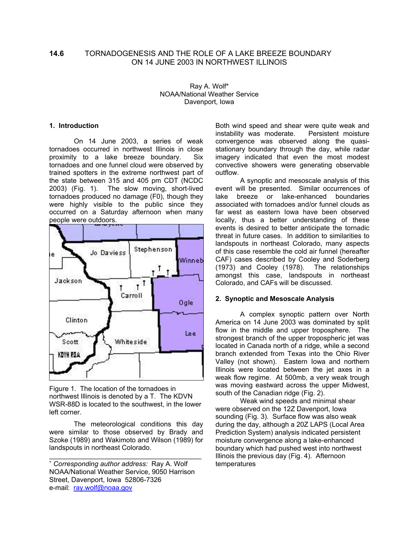# **14.6** TORNADOGENESIS AND THE ROLE OF A LAKE BREEZE BOUNDARY ON 14 JUNE 2003 IN NORTHWEST ILLINOIS

Ray A. Wolf\* NOAA/National Weather Service Davenport, Iowa

#### **1. Introduction**

On 14 June 2003, a series of weak tornadoes occurred in northwest Illinois in close proximity to a lake breeze boundary. Six tornadoes and one funnel cloud were observed by trained spotters in the extreme northwest part of the state between 315 and 405 pm CDT (NCDC 2003) (Fig. 1). The slow moving, short-lived tornadoes produced no damage (F0), though they were highly visible to the public since they occurred on a Saturday afternoon when many people were outdoors.



Figure 1. The location of the tornadoes in northwest Illinois is denoted by a T. The KDVN WSR-88D is located to the southwest, in the lower left corner.

The meteorological conditions this day were similar to those observed by Brady and Szoke (1989) and Wakimoto and Wilson (1989) for landspouts in northeast Colorado.

\_\_\_\_\_\_\_\_\_\_\_\_\_\_\_\_\_\_\_\_\_\_\_\_\_\_\_\_\_\_\_\_\_\_\_\_\_\_\_\_

Both wind speed and shear were quite weak and instability was moderate. Persistent moisture convergence was observed along the quasistationary boundary through the day, while radar imagery indicated that even the most modest convective showers were generating observable outflow.

 A synoptic and mesoscale analysis of this event will be presented. Similar occurrences of lake breeze or lake-enhanced boundaries associated with tornadoes and/or funnel clouds as far west as eastern Iowa have been observed locally, thus a better understanding of these events is desired to better anticipate the tornadic threat in future cases. In addition to similarities to landspouts in northeast Colorado, many aspects of this case resemble the cold air funnel (hereafter CAF) cases described by Cooley and Soderberg (1973) and Cooley (1978). The relationships amongst this case, landspouts in northeast Colorado, and CAFs will be discussed.

#### **2. Synoptic and Mesoscale Analysis**

 A complex synoptic pattern over North America on 14 June 2003 was dominated by split flow in the middle and upper troposphere. The strongest branch of the upper tropospheric jet was located in Canada north of a ridge, while a second branch extended from Texas into the Ohio River Valley (not shown). Eastern Iowa and northern Illinois were located between the jet axes in a weak flow regime. At 500mb, a very weak trough was moving eastward across the upper Midwest, south of the Canadian ridge (Fig. 2).

 Weak wind speeds and minimal shear were observed on the 12Z Davenport, Iowa sounding (Fig. 3). Surface flow was also weak during the day, although a 20Z LAPS (Local Area Prediction System) analysis indicated persistent moisture convergence along a lake-enhanced boundary which had pushed west into northwest Illinois the previous day (Fig. 4). Afternoon temperatures

<sup>∗</sup> *Corresponding author address:* Ray A. Wolf NOAA/National Weather Service, 9050 Harrison Street, Davenport, Iowa 52806-7326 e-mail: ray.wolf@noaa.gov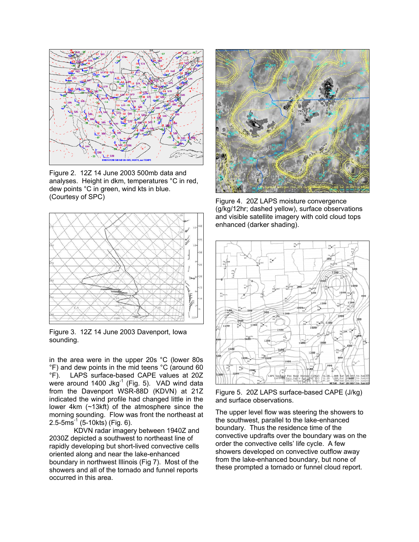

Figure 2. 12Z 14 June 2003 500mb data and analyses. Height in dkm, temperatures °C in red, dew points °C in green, wind kts in blue. (Courtesy of SPC)



Figure 3. 12Z 14 June 2003 Davenport, Iowa sounding.

in the area were in the upper 20s °C (lower 80s °F) and dew points in the mid teens °C (around 60 °F). LAPS surface-based CAPE values at 20Z were around  $1400$  Jkg $^{-1}$  (Fig. 5). VAD wind data from the Davenport WSR-88D (KDVN) at 21Z indicated the wind profile had changed little in the lower 4km (~13kft) of the atmosphere since the morning sounding. Flow was front the northeast at  $2.5 - 5m\bar{s}^{-1}$  (5-10kts) (Fig. 6).

 KDVN radar imagery between 1940Z and 2030Z depicted a southwest to northeast line of rapidly developing but short-lived convective cells oriented along and near the lake-enhanced boundary in northwest Illinois (Fig 7). Most of the showers and all of the tornado and funnel reports occurred in this area.



Figure 4. 20Z LAPS moisture convergence (g/kg/12hr; dashed yellow), surface observations and visible satellite imagery with cold cloud tops enhanced (darker shading).



Figure 5. 20Z LAPS surface-based CAPE (J/kg) and surface observations.

The upper level flow was steering the showers to the southwest, parallel to the lake-enhanced boundary. Thus the residence time of the convective updrafts over the boundary was on the order the convective cells' life cycle. A few showers developed on convective outflow away from the lake-enhanced boundary, but none of these prompted a tornado or funnel cloud report.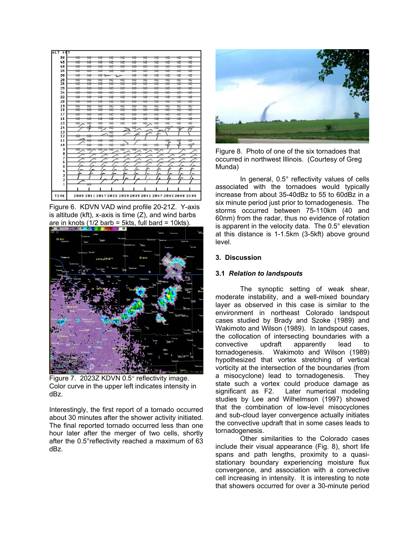

Figure 6. KDVN VAD wind profile 20-21Z. Y-axis is altitude (kft),  $x$ -axis is time  $(Z)$ , and wind barbs are in knots  $(1/2 \text{ barb} = 5 \text{kts}, \text{full } \text{bard} = 10 \text{kts}).$ 



Figure 7. 2023Z KDVN 0.5° reflectivity image. Color curve in the upper left indicates intensity in dBz.

Interestingly, the first report of a tornado occurred about 30 minutes after the shower activity initiated. The final reported tornado occurred less than one hour later after the merger of two cells, shortly after the 0.5°reflectivity reached a maximum of 63 dBz.



Figure 8. Photo of one of the six tornadoes that occurred in northwest Illinois. (Courtesy of Greg Munda)

 In general, 0.5° reflectivity values of cells associated with the tornadoes would typically increase from about 35-40dBz to 55 to 60dBz in a six minute period just prior to tornadogenesis. The storms occurred between 75-110km (40 and 60nm) from the radar, thus no evidence of rotation is apparent in the velocity data. The 0.5° elevation at this distance is 1-1.5km (3-5kft) above ground level.

## **3. Discussion**

### **3.1** *Relation to landspouts*

 The synoptic setting of weak shear, moderate instability, and a well-mixed boundary layer as observed in this case is similar to the environment in northeast Colorado landspout cases studied by Brady and Szoke (1989) and Wakimoto and Wilson (1989). In landspout cases, the collocation of intersecting boundaries with a convective updraft apparently lead to convective updraft apparently lead to tornadogenesis. Wakimoto and Wilson (1989) hypothesized that vortex stretching of vertical vorticity at the intersection of the boundaries (from a misocyclone) lead to tornadogenesis. They state such a vortex could produce damage as significant as F2. Later numerical modeling studies by Lee and Wilhelmson (1997) showed that the combination of low-level misocyclones and sub-cloud layer convergence actually initiates the convective updraft that in some cases leads to tornadogenesis.

 Other similarities to the Colorado cases include their visual appearance (Fig. 8), short life spans and path lengths, proximity to a quasistationary boundary experiencing moisture flux convergence, and association with a convective cell increasing in intensity. It is interesting to note that showers occurred for over a 30-minute period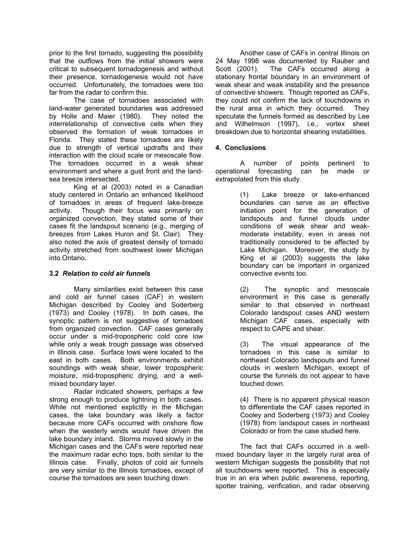prior to the first tornado, suggesting the possibility that the outflows from the initial showers were critical to subsequent tornadogenesis and without their presence, tornadogenesis would not have occurred. Unfortunately, the tornadoes were too far from the radar to confirm this.

 The case of tornadoes associated with land-water generated boundaries was addressed by Holle and Maier (1980). They noted the interrelationship of convective cells when they observed the formation of weak tornadoes in Florida. They stated these tornadoes are likely due to strength of vertical updrafts and their interaction with the cloud scale or mesoscale flow. The tornadoes occurred in a weak shear environment and where a gust front and the landsea breeze intersected.

 King et al (2003) noted in a Canadian study centered in Ontario an enhanced likelihood of tornadoes in areas of frequent lake-breeze activity. Though their focus was primarily on organized convection, they stated some of their cases fit the landspout scenario (e.g., merging of breezes from Lakes Huron and St. Clair). They also noted the axis of greatest density of tornado activity stretched from southwest lower Michigan into Ontario.

# **3.2** *Relation to cold air funnels*

 Many similarities exist between this case and cold air funnel cases (CAF) in western Michigan described by Cooley and Soderberg (1973) and Cooley (1978). In both cases, the synoptic pattern is not suggestive of tornadoes from organized convection. CAF cases generally occur under a mid-tropospheric cold core low while only a weak trough passage was observed in Illinois case. Surface lows were located to the east in both cases. Both environments exhibit soundings with weak shear, lower tropospheric moisture, mid-tropospheric drying, and a wellmixed boundary layer.

 Radar indicated showers, perhaps a few strong enough to produce lightning in both cases. While not mentioned explicitly in the Michigan cases, the lake boundary was likely a factor because more CAFs occurred with onshore flow when the westerly winds would have driven the lake boundary inland. Storms moved slowly in the Michigan cases and the CAFs were reported near the maximum radar echo tops, both similar to the Illinois case. Finally, photos of cold air funnels are very similar to the Illinois tornadoes, except of course the tornadoes are seen touching down.

 Another case of CAFs in central Illinois on 24 May 1998 was documented by Rauber and Scott (2001). The CAFs occurred along a stationary frontal boundary in an environment of weak shear and weak instability and the presence of convective showers. Though reported as CAFs, they could not confirm the lack of touchdowns in the rural area in which they occurred. They speculate the funnels formed as described by Lee and Wilhelmson (1997), i.e., vortex sheet breakdown due to horizontal shearing instabilities.

# **4. Conclusions**

 A number of points pertinent to operational forecasting can be made or extrapolated from this study.

> (1) Lake breeze or lake-enhanced boundaries can serve as an effective initiation point for the generation of landspouts and funnel clouds under conditions of weak shear and weakmoderate instability, even in areas not traditionally considered to be affected by Lake Michigan. Moreover, the study by King et al (2003) suggests the lake boundary can be important in organized convective events too.

> (2) The synoptic and mesoscale environment in this case is generally similar to that observed in northeast Colorado landspout cases AND western Michigan CAF cases, especially with respect to CAPE and shear.

> (3) The visual appearance of the tornadoes in this case is similar to northeast Colorado landspouts and funnel clouds in western Michigan, except of course the funnels do not *appear* to have touched down.

> (4) There is no apparent physical reason to differentiate the CAF cases reported in Cooley and Soderberg (1973) and Cooley (1978) from landspout cases in northeast Colorado or from the case studied here.

 The fact that CAFs occurred in a wellmixed boundary layer in the largely rural area of western Michigan suggests the possibility that not all touchdowns were reported. This is especially true in an era when public awareness, reporting, spotter training, verification, and radar observing